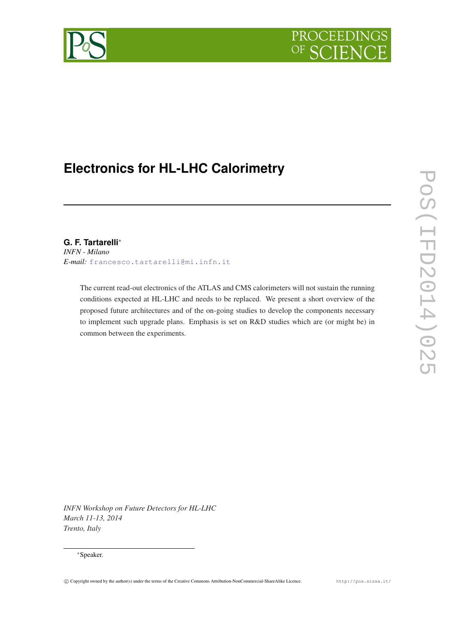

# **Electronics for HL-LHC Calorimetry**

# **G. F. Tartarelli**<sup>∗</sup>

*INFN - Milano E-mail:* [francesco.tartarelli@mi.infn.it](mailto:francesco.tartarelli@mi.infn.it)

The current read-out electronics of the ATLAS and CMS calorimeters will not sustain the running conditions expected at HL-LHC and needs to be replaced. We present a short overview of the proposed future architectures and of the on-going studies to develop the components necessary to implement such upgrade plans. Emphasis is set on R&D studies which are (or might be) in common between the experiments.

*INFN Workshop on Future Detectors for HL-LHC March 11-13, 2014 Trento, Italy*

#### <sup>∗</sup>Speaker.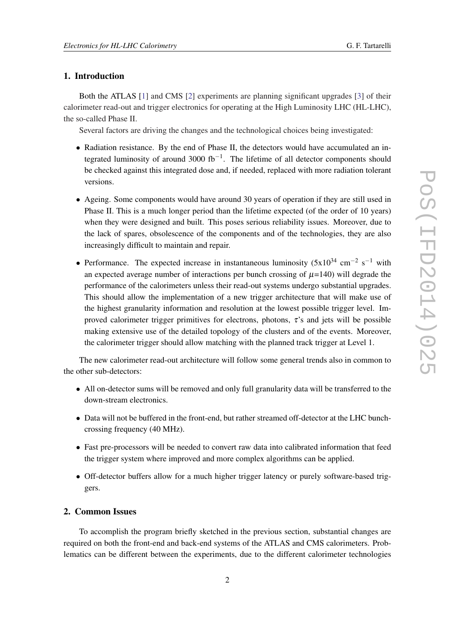## 1. Introduction

Both the ATLAS [\[1\]](#page-5-0) and CMS [\[2\]](#page-5-0) experiments are planning significant upgrades [\[3\]](#page-5-0) of their calorimeter read-out and trigger electronics for operating at the High Luminosity LHC (HL-LHC), the so-called Phase II.

Several factors are driving the changes and the technological choices being investigated:

- Radiation resistance. By the end of Phase II, the detectors would have accumulated an integrated luminosity of around 3000 fb<sup>-1</sup>. The lifetime of all detector components should be checked against this integrated dose and, if needed, replaced with more radiation tolerant versions.
- Ageing. Some components would have around 30 years of operation if they are still used in Phase II. This is a much longer period than the lifetime expected (of the order of 10 years) when they were designed and built. This poses serious reliability issues. Moreover, due to the lack of spares, obsolescence of the components and of the technologies, they are also increasingly difficult to maintain and repair.
- Performance. The expected increase in instantaneous luminosity  $(5x10^{34} \text{ cm}^{-2} \text{ s}^{-1}$  with an expected average number of interactions per bunch crossing of  $\mu$ =140) will degrade the performance of the calorimeters unless their read-out systems undergo substantial upgrades. This should allow the implementation of a new trigger architecture that will make use of the highest granularity information and resolution at the lowest possible trigger level. Improved calorimeter trigger primitives for electrons, photons,  $\tau$ 's and jets will be possible making extensive use of the detailed topology of the clusters and of the events. Moreover, the calorimeter trigger should allow matching with the planned track trigger at Level 1.

The new calorimeter read-out architecture will follow some general trends also in common to the other sub-detectors:

- All on-detector sums will be removed and only full granularity data will be transferred to the down-stream electronics.
- Data will not be buffered in the front-end, but rather streamed off-detector at the LHC bunchcrossing frequency (40 MHz).
- Fast pre-processors will be needed to convert raw data into calibrated information that feed the trigger system where improved and more complex algorithms can be applied.
- Off-detector buffers allow for a much higher trigger latency or purely software-based triggers.

#### 2. Common Issues

To accomplish the program briefly sketched in the previous section, substantial changes are required on both the front-end and back-end systems of the ATLAS and CMS calorimeters. Problematics can be different between the experiments, due to the different calorimeter technologies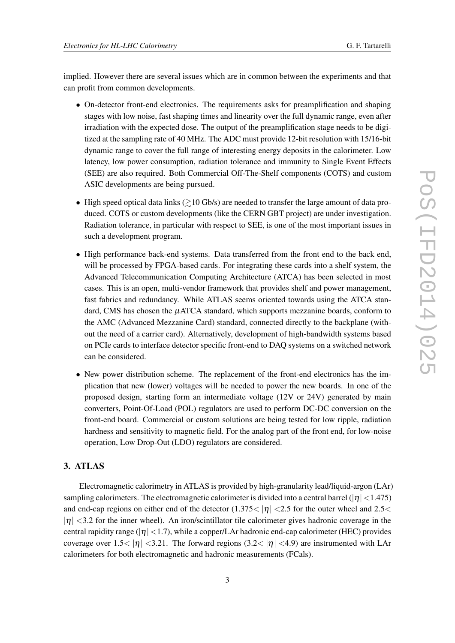implied. However there are several issues which are in common between the experiments and that can profit from common developments.

- On-detector front-end electronics. The requirements asks for preamplification and shaping stages with low noise, fast shaping times and linearity over the full dynamic range, even after irradiation with the expected dose. The output of the preamplification stage needs to be digitized at the sampling rate of 40 MHz. The ADC must provide 12-bit resolution with 15/16-bit dynamic range to cover the full range of interesting energy deposits in the calorimeter. Low latency, low power consumption, radiation tolerance and immunity to Single Event Effects (SEE) are also required. Both Commercial Off-The-Shelf components (COTS) and custom ASIC developments are being pursued.
- High speed optical data links  $\geq 10$  Gb/s) are needed to transfer the large amount of data produced. COTS or custom developments (like the CERN GBT project) are under investigation. Radiation tolerance, in particular with respect to SEE, is one of the most important issues in such a development program.
- High performance back-end systems. Data transferred from the front end to the back end, will be processed by FPGA-based cards. For integrating these cards into a shelf system, the Advanced Telecommunication Computing Architecture (ATCA) has been selected in most cases. This is an open, multi-vendor framework that provides shelf and power management, fast fabrics and redundancy. While ATLAS seems oriented towards using the ATCA standard, CMS has chosen the µATCA standard, which supports mezzanine boards, conform to the AMC (Advanced Mezzanine Card) standard, connected directly to the backplane (without the need of a carrier card). Alternatively, development of high-bandwidth systems based on PCIe cards to interface detector specific front-end to DAQ systems on a switched network can be considered.
- New power distribution scheme. The replacement of the front-end electronics has the implication that new (lower) voltages will be needed to power the new boards. In one of the proposed design, starting form an intermediate voltage (12V or 24V) generated by main converters, Point-Of-Load (POL) regulators are used to perform DC-DC conversion on the front-end board. Commercial or custom solutions are being tested for low ripple, radiation hardness and sensitivity to magnetic field. For the analog part of the front end, for low-noise operation, Low Drop-Out (LDO) regulators are considered.

# 3. ATLAS

Electromagnetic calorimetry in ATLAS is provided by high-granularity lead/liquid-argon (LAr) sampling calorimeters. The electromagnetic calorimeter is divided into a central barrel ( $|\eta|$  < 1.475) and end-cap regions on either end of the detector  $(1.375<|\eta|<2.5$  for the outer wheel and 2.5  $|\eta|$  <3.2 for the inner wheel). An iron/scintillator tile calorimeter gives hadronic coverage in the central rapidity range ( $|\eta|$  < 1.7), while a copper/LAr hadronic end-cap calorimeter (HEC) provides coverage over  $1.5 < |\eta|$  < 3.21. The forward regions (3.2  $|\eta|$  < 4.9) are instrumented with LAr calorimeters for both electromagnetic and hadronic measurements (FCals).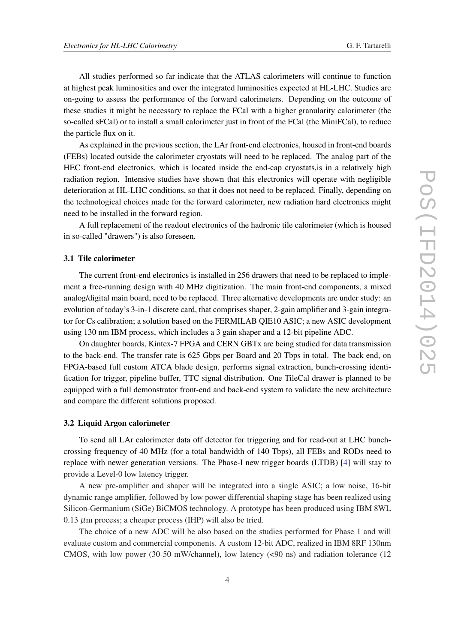All studies performed so far indicate that the ATLAS calorimeters will continue to function at highest peak luminosities and over the integrated luminosities expected at HL-LHC. Studies are on-going to assess the performance of the forward calorimeters. Depending on the outcome of these studies it might be necessary to replace the FCal with a higher granularity calorimeter (the so-called sFCal) or to install a small calorimeter just in front of the FCal (the MiniFCal), to reduce the particle flux on it.

As explained in the previous section, the LAr front-end electronics, housed in front-end boards (FEBs) located outside the calorimeter cryostats will need to be replaced. The analog part of the HEC front-end electronics, which is located inside the end-cap cryostats,is in a relatively high radiation region. Intensive studies have shown that this electronics will operate with negligible deterioration at HL-LHC conditions, so that it does not need to be replaced. Finally, depending on the technological choices made for the forward calorimeter, new radiation hard electronics might need to be installed in the forward region.

A full replacement of the readout electronics of the hadronic tile calorimeter (which is housed in so-called "drawers") is also foreseen.

#### 3.1 Tile calorimeter

The current front-end electronics is installed in 256 drawers that need to be replaced to implement a free-running design with 40 MHz digitization. The main front-end components, a mixed analog/digital main board, need to be replaced. Three alternative developments are under study: an evolution of today's 3-in-1 discrete card, that comprises shaper, 2-gain amplifier and 3-gain integrator for Cs calibration; a solution based on the FERMILAB QIE10 ASIC; a new ASIC development using 130 nm IBM process, which includes a 3 gain shaper and a 12-bit pipeline ADC.

On daughter boards, Kintex-7 FPGA and CERN GBTx are being studied for data transmission to the back-end. The transfer rate is 625 Gbps per Board and 20 Tbps in total. The back end, on FPGA-based full custom ATCA blade design, performs signal extraction, bunch-crossing identification for trigger, pipeline buffer, TTC signal distribution. One TileCal drawer is planned to be equipped with a full demonstrator front-end and back-end system to validate the new architecture and compare the different solutions proposed.

#### 3.2 Liquid Argon calorimeter

To send all LAr calorimeter data off detector for triggering and for read-out at LHC bunchcrossing frequency of 40 MHz (for a total bandwidth of 140 Tbps), all FEBs and RODs need to replace with newer generation versions. The Phase-I new trigger boards (LTDB) [[4\]](#page-5-0) will stay to provide a Level-0 low latency trigger.

A new pre-amplifier and shaper will be integrated into a single ASIC; a low noise, 16-bit dynamic range amplifier, followed by low power differential shaping stage has been realized using Silicon-Germanium (SiGe) BiCMOS technology. A prototype has been produced using IBM 8WL  $0.13 \mu$ m process; a cheaper process (IHP) will also be tried.

The choice of a new ADC will be also based on the studies performed for Phase 1 and will evaluate custom and commercial components. A custom 12-bit ADC, realized in IBM 8RF 130nm CMOS, with low power (30-50 mW/channel), low latency (<90 ns) and radiation tolerance (12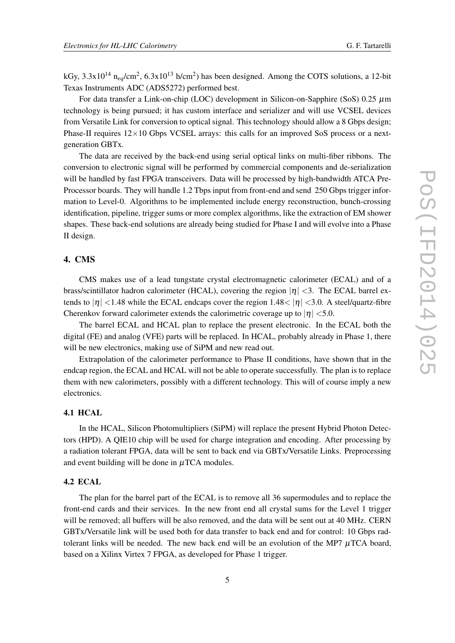kGy,  $3.3x10^{14}$  n<sub>eq</sub>/cm<sup>2</sup>,  $6.3x10^{13}$  h/cm<sup>2</sup>) has been designed. Among the COTS solutions, a 12-bit Texas Instruments ADC (ADS5272) performed best.

For data transfer a Link-on-chip (LOC) development in Silicon-on-Sapphire (SoS)  $0.25 \mu$ m technology is being pursued; it has custom interface and serializer and will use VCSEL devices from Versatile Link for conversion to optical signal. This technology should allow a 8 Gbps design; Phase-II requires  $12\times10$  Gbps VCSEL arrays: this calls for an improved SoS process or a nextgeneration GBTx.

The data are received by the back-end using serial optical links on multi-fiber ribbons. The conversion to electronic signal will be performed by commercial components and de-serialization will be handled by fast FPGA transceivers. Data will be processed by high-bandwidth ATCA Pre-Processor boards. They will handle 1.2 Tbps input from front-end and send 250 Gbps trigger information to Level-0. Algorithms to be implemented include energy reconstruction, bunch-crossing identification, pipeline, trigger sums or more complex algorithms, like the extraction of EM shower shapes. These back-end solutions are already being studied for Phase I and will evolve into a Phase II design.

# 4. CMS

CMS makes use of a lead tungstate crystal electromagnetic calorimeter (ECAL) and of a brass/scintillator hadron calorimeter (HCAL), covering the region  $|\eta| < 3$ . The ECAL barrel extends to  $|\eta|$  < 1.48 while the ECAL endcaps cover the region 1.48 \equal |neglective |neglective 1.48 \equal |neglective 1.48 \equal |neglective 1.48 \equal |neglective 1.48 \equal |neglective 1.48 \equal |neglective 1.4 Cherenkov forward calorimeter extends the calorimetric coverage up to  $|\eta|$  < 5.0.

The barrel ECAL and HCAL plan to replace the present electronic. In the ECAL both the digital (FE) and analog (VFE) parts will be replaced. In HCAL, probably already in Phase 1, there will be new electronics, making use of SiPM and new read out.

Extrapolation of the calorimeter performance to Phase II conditions, have shown that in the endcap region, the ECAL and HCAL will not be able to operate successfully. The plan is to replace them with new calorimeters, possibly with a different technology. This will of course imply a new electronics.

### 4.1 HCAL

In the HCAL, Silicon Photomultipliers (SiPM) will replace the present Hybrid Photon Detectors (HPD). A QIE10 chip will be used for charge integration and encoding. After processing by a radiation tolerant FPGA, data will be sent to back end via GBTx/Versatile Links. Preprocessing and event building will be done in  $\mu$ TCA modules.

#### 4.2 ECAL

The plan for the barrel part of the ECAL is to remove all 36 supermodules and to replace the front-end cards and their services. In the new front end all crystal sums for the Level 1 trigger will be removed; all buffers will be also removed, and the data will be sent out at 40 MHz. CERN GBTx/Versatile link will be used both for data transfer to back end and for control: 10 Gbps radtolerant links will be needed. The new back end will be an evolution of the MP7  $\mu$ TCA board, based on a Xilinx Virtex 7 FPGA, as developed for Phase 1 trigger.